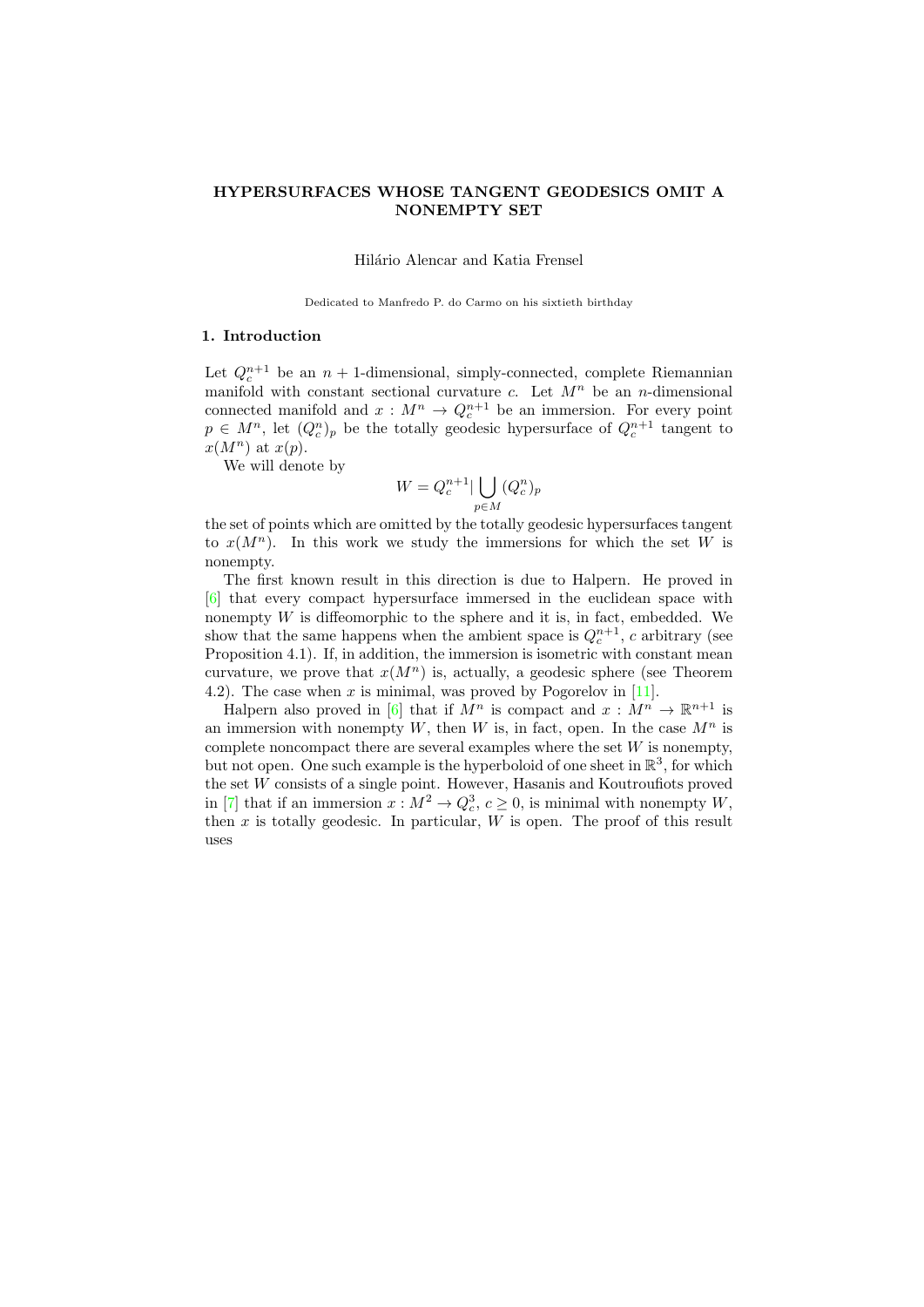## HYPERSURFACES WHOSE TANGENT GEODESICS OMIT A NONEMPTY SET

Hilário Alencar and Katia Frensel

Dedicated to Manfredo P. do Carmo on his sixtieth birthday

## 1. Introduction

Let  $Q_c^{n+1}$  be an  $n+1$ -dimensional, simply-connected, complete Riemannian manifold with constant sectional curvature c. Let  $M^n$  be an n-dimensional connected manifold and  $x : M^n \to Q_c^{n+1}$  be an immersion. For every point  $p \in M^n$ , let  $(Q_c^n)_p$  be the totally geodesic hypersurface of  $Q_c^{n+1}$  tangent to  $x(M^n)$  at  $x(p)$ .

We will denote by

$$
W = Q_c^{n+1} | \bigcup_{p \in M} (Q_c^n)_p
$$

the set of points which are omitted by the totally geodesic hypersurfaces tangent to  $x(M^n)$ . In this work we study the immersions for which the set W is nonempty.

The first known result in this direction is due to Halpern. He proved in [\[6\]](#page-11-0) that every compact hypersurface immersed in the euclidean space with nonempty  $W$  is diffeomorphic to the sphere and it is, in fact, embedded. We show that the same happens when the ambient space is  $Q_c^{n+1}$ , c arbitrary (see Proposition 4.1). If, in addition, the immersion is isometric with constant mean curvature, we prove that  $x(M^n)$  is, actually, a geodesic sphere (see Theorem 4.2). The case when x is minimal, was proved by Pogorelov in  $[11]$ .

Halpern also proved in [\[6\]](#page-11-0) that if  $M^n$  is compact and  $x : M^n \to \mathbb{R}^{n+1}$  is an immersion with nonempty W, then W is, in fact, open. In the case  $M^n$  is complete noncompact there are several examples where the set  $W$  is nonempty, but not open. One such example is the hyperboloid of one sheet in  $\mathbb{R}^3$ , for which the set W consists of a single point. However, Hasanis and Koutroufiots proved in [\[7\]](#page-11-1) that if an immersion  $x : M^2 \to Q_c^3$ ,  $c \ge 0$ , is minimal with nonempty W, then  $x$  is totally geodesic. In particular,  $W$  is open. The proof of this result uses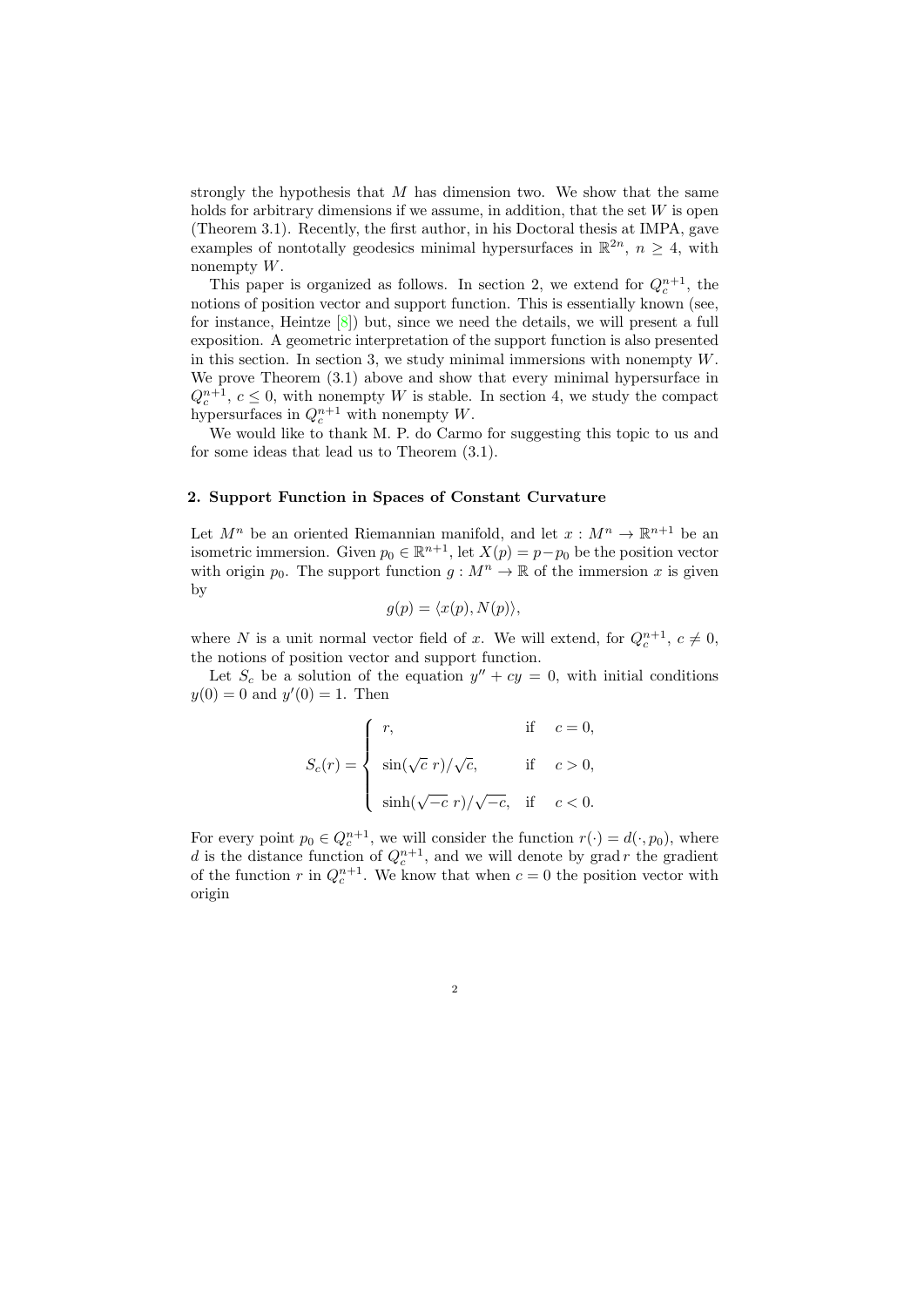strongly the hypothesis that  $M$  has dimension two. We show that the same holds for arbitrary dimensions if we assume, in addition, that the set  $W$  is open (Theorem 3.1). Recently, the first author, in his Doctoral thesis at IMPA, gave examples of nontotally geodesics minimal hypersurfaces in  $\mathbb{R}^{2n}$ ,  $n \geq 4$ , with nonempty W.

This paper is organized as follows. In section 2, we extend for  $Q_c^{n+1}$ , the notions of position vector and support function. This is essentially known (see, for instance, Heintze [\[8\]](#page-11-2)) but, since we need the details, we will present a full exposition. A geometric interpretation of the support function is also presented in this section. In section 3, we study minimal immersions with nonempty  $W$ . We prove Theorem (3.1) above and show that every minimal hypersurface in  $Q_c^{n+1}, c \leq 0$ , with nonempty W is stable. In section 4, we study the compact hypersurfaces in  $Q_c^{n+1}$  with nonempty W.

We would like to thank M. P. do Carmo for suggesting this topic to us and for some ideas that lead us to Theorem (3.1).

### 2. Support Function in Spaces of Constant Curvature

Let  $M^n$  be an oriented Riemannian manifold, and let  $x : M^n \to \mathbb{R}^{n+1}$  be an isometric immersion. Given  $p_0 \in \mathbb{R}^{n+1}$ , let  $X(p) = p - p_0$  be the position vector with origin  $p_0$ . The support function  $g : M^n \to \mathbb{R}$  of the immersion x is given by

$$
g(p) = \langle x(p), N(p) \rangle,
$$

where N is a unit normal vector field of x. We will extend, for  $Q_c^{n+1}$ ,  $c \neq 0$ , the notions of position vector and support function.

Let  $S_c$  be a solution of the equation  $y'' + cy = 0$ , with initial conditions  $y(0) = 0$  and  $y'(0) = 1$ . Then

$$
S_c(r) = \begin{cases} r, & \text{if } c = 0, \\ \sin(\sqrt{c} \ r) / \sqrt{c}, & \text{if } c > 0, \\ \sinh(\sqrt{-c} \ r) / \sqrt{-c}, & \text{if } c < 0. \end{cases}
$$

For every point  $p_0 \in Q_c^{n+1}$ , we will consider the function  $r(\cdot) = d(\cdot, p_0)$ , where d is the distance function of  $Q_c^{n+1}$ , and we will denote by grad r the gradient of the function r in  $Q_c^{n+1}$ . We know that when  $c = 0$  the position vector with origin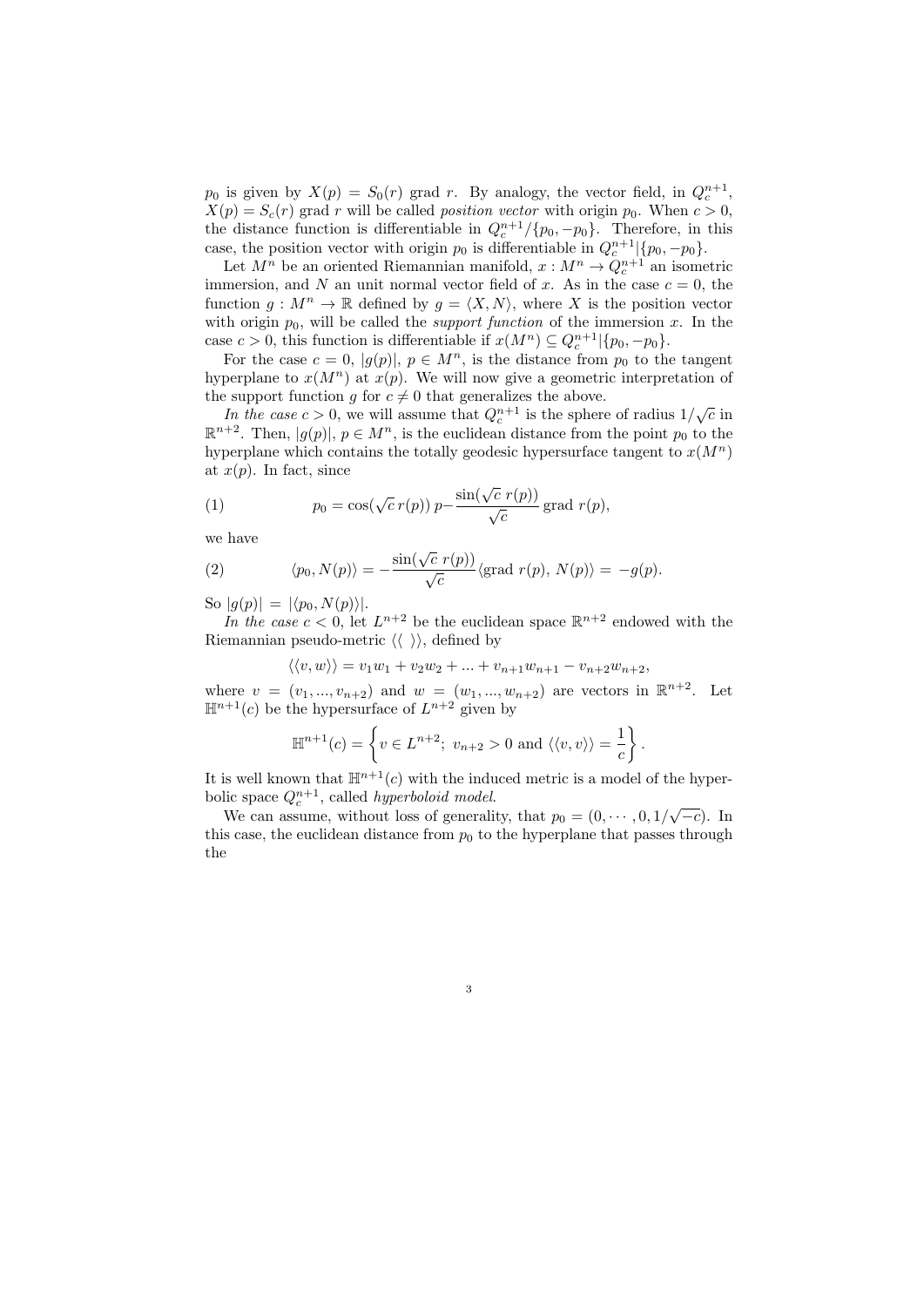$p_0$  is given by  $X(p) = S_0(r)$  grad r. By analogy, the vector field, in  $Q_c^{n+1}$ ,  $X(p) = S_c(r)$  grad r will be called *position vector* with origin  $p_0$ . When  $c > 0$ , the distance function is differentiable in  $Q_c^{n+1}/\{p_0, -p_0\}$ . Therefore, in this case, the position vector with origin  $p_0$  is differentiable in  $Q_c^{n+1}$  { $p_0, -p_0$ }.

Let  $M^n$  be an oriented Riemannian manifold,  $x : M^n \to Q_c^{n+1}$  an isometric immersion, and N an unit normal vector field of x. As in the case  $c = 0$ , the function  $g: M^n \to \mathbb{R}$  defined by  $g = \langle X, N \rangle$ , where X is the position vector with origin  $p_0$ , will be called the *support function* of the immersion x. In the case  $c > 0$ , this function is differentiable if  $x(M^n) \subseteq Q_c^{n+1} | \{p_0, -p_0\}.$ 

For the case  $c = 0$ ,  $|g(p)|$ ,  $p \in M<sup>n</sup>$ , is the distance from  $p<sub>0</sub>$  to the tangent hyperplane to  $x(M^n)$  at  $x(p)$ . We will now give a geometric interpretation of the support function g for  $c \neq 0$  that generalizes the above.

Exhibit the case  $c > 0$ , we will assume that  $Q_c^{n+1}$  is the sphere of radius  $1/\sqrt{c}$  in  $\mathbb{R}^{n+2}$ . Then,  $|g(p)|, p \in M^n$ , is the euclidean distance from the point  $p_0$  to the hyperplane which contains the totally geodesic hypersurface tangent to  $x(M^n)$ at  $x(p)$ . In fact, since

(1) 
$$
p_0 = \cos(\sqrt{c} \, r(p)) \, p - \frac{\sin(\sqrt{c} \, r(p))}{\sqrt{c}} \text{grad } r(p),
$$

we have

(2) 
$$
\langle p_0, N(p) \rangle = -\frac{\sin(\sqrt{c} \ r(p))}{\sqrt{c}} \langle \text{grad } r(p), N(p) \rangle = -g(p).
$$

So  $|g(p)| = |\langle p_0, N(p) \rangle|.$ 

In the case  $c < 0$ , let  $L^{n+2}$  be the euclidean space  $\mathbb{R}^{n+2}$  endowed with the Riemannian pseudo-metric  $\langle \langle \rangle \rangle$ , defined by

$$
\langle \langle v, w \rangle \rangle = v_1 w_1 + v_2 w_2 + \dots + v_{n+1} w_{n+1} - v_{n+2} w_{n+2},
$$

where  $v = (v_1, ..., v_{n+2})$  and  $w = (w_1, ..., w_{n+2})$  are vectors in  $\mathbb{R}^{n+2}$ . Let  $\mathbb{H}^{n+1}(c)$  be the hypersurface of  $L^{n+2}$  given by

$$
\mathbb{H}^{n+1}(c) = \left\{ v \in L^{n+2}; \ v_{n+2} > 0 \text{ and } \langle \langle v, v \rangle \rangle = \frac{1}{c} \right\}.
$$

It is well known that  $\mathbb{H}^{n+1}(c)$  with the induced metric is a model of the hyperbolic space  $Q_c^{n+1}$ , called *hyperboloid model*.

We can assume, without loss of generality, that  $p_0 = (0, \dots, 0, 1/\sqrt{-c})$ . In this case, the euclidean distance from  $p_0$  to the hyperplane that passes through the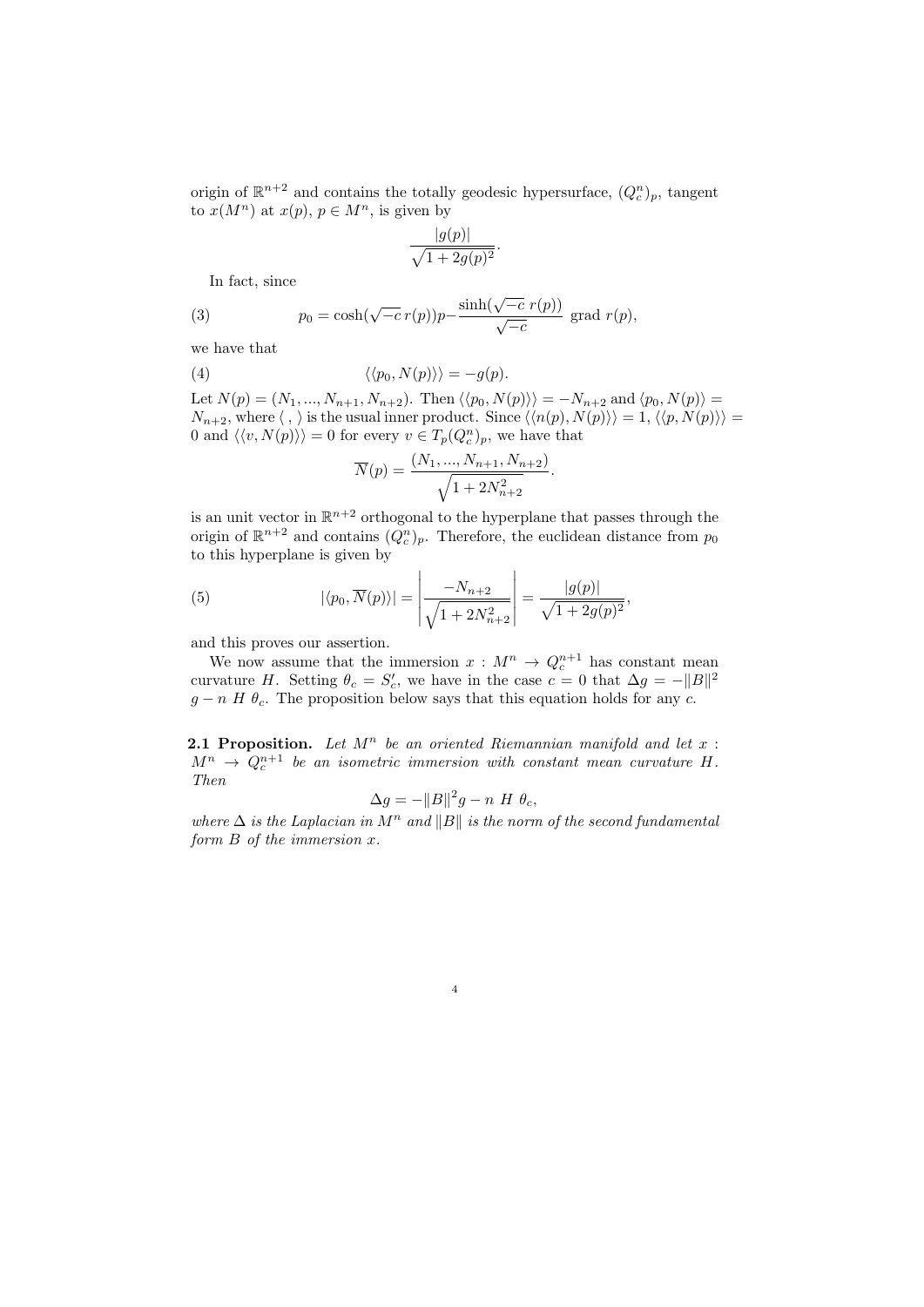origin of  $\mathbb{R}^{n+2}$  and contains the totally geodesic hypersurface,  $(Q_c^n)_p$ , tangent to  $x(M^n)$  at  $x(p), p \in M^n$ , is given by

$$
\frac{|g(p)|}{\sqrt{1+2g(p)^2}}.
$$

In fact, since

(3) 
$$
p_0 = \cosh(\sqrt{-c} \, r(p))p - \frac{\sinh(\sqrt{-c} \, r(p))}{\sqrt{-c}} \text{ grad } r(p),
$$

we have that

(4)  $\langle \langle p_0, N(p) \rangle \rangle = -q(p).$ 

Let  $N(p) = (N_1, ..., N_{n+1}, N_{n+2})$ . Then  $\langle \langle p_0, N(p) \rangle \rangle = -N_{n+2}$  and  $\langle p_0, N(p) \rangle =$  $N_{n+2}$ , where  $\langle , \rangle$  is the usual inner product. Since  $\langle \langle n(p), N(p) \rangle \rangle = 1, \langle \langle p, N(p) \rangle \rangle =$ 0 and  $\langle \langle v, N(p) \rangle \rangle = 0$  for every  $v \in T_p(Q_c^n)_p$ , we have that

.

$$
\overline{N}(p) = \frac{(N_1, ..., N_{n+1}, N_{n+2})}{\sqrt{1 + 2N_{n+2}^2}}
$$

is an unit vector in  $\mathbb{R}^{n+2}$  orthogonal to the hyperplane that passes through the origin of  $\mathbb{R}^{n+2}$  and contains  $(Q_c^n)_p$ . Therefore, the euclidean distance from  $p_0$ to this hyperplane is given by

(5) 
$$
|\langle p_0, \overline{N}(p) \rangle| = \left| \frac{-N_{n+2}}{\sqrt{1 + 2N_{n+2}^2}} \right| = \frac{|g(p)|}{\sqrt{1 + 2g(p)^2}},
$$

and this proves our assertion.

We now assume that the immersion  $x : M^n \to Q_c^{n+1}$  has constant mean curvature H. Setting  $\theta_c = S'_c$ , we have in the case  $c = 0$  that  $\Delta g = -||B||^2$  $g - n$  H  $\theta_c$ . The proposition below says that this equation holds for any c.

**2.1 Proposition.** Let  $M^n$  be an oriented Riemannian manifold and let  $x$ :  $M^n \rightarrow Q_c^{n+1}$  be an isometric immersion with constant mean curvature H. Then

$$
\Delta g = -\|B\|^2 g - n \ H \ \theta_c,
$$

where  $\Delta$  is the Laplacian in  $M^n$  and  $||B||$  is the norm of the second fundamental form  $B$  of the immersion  $x$ .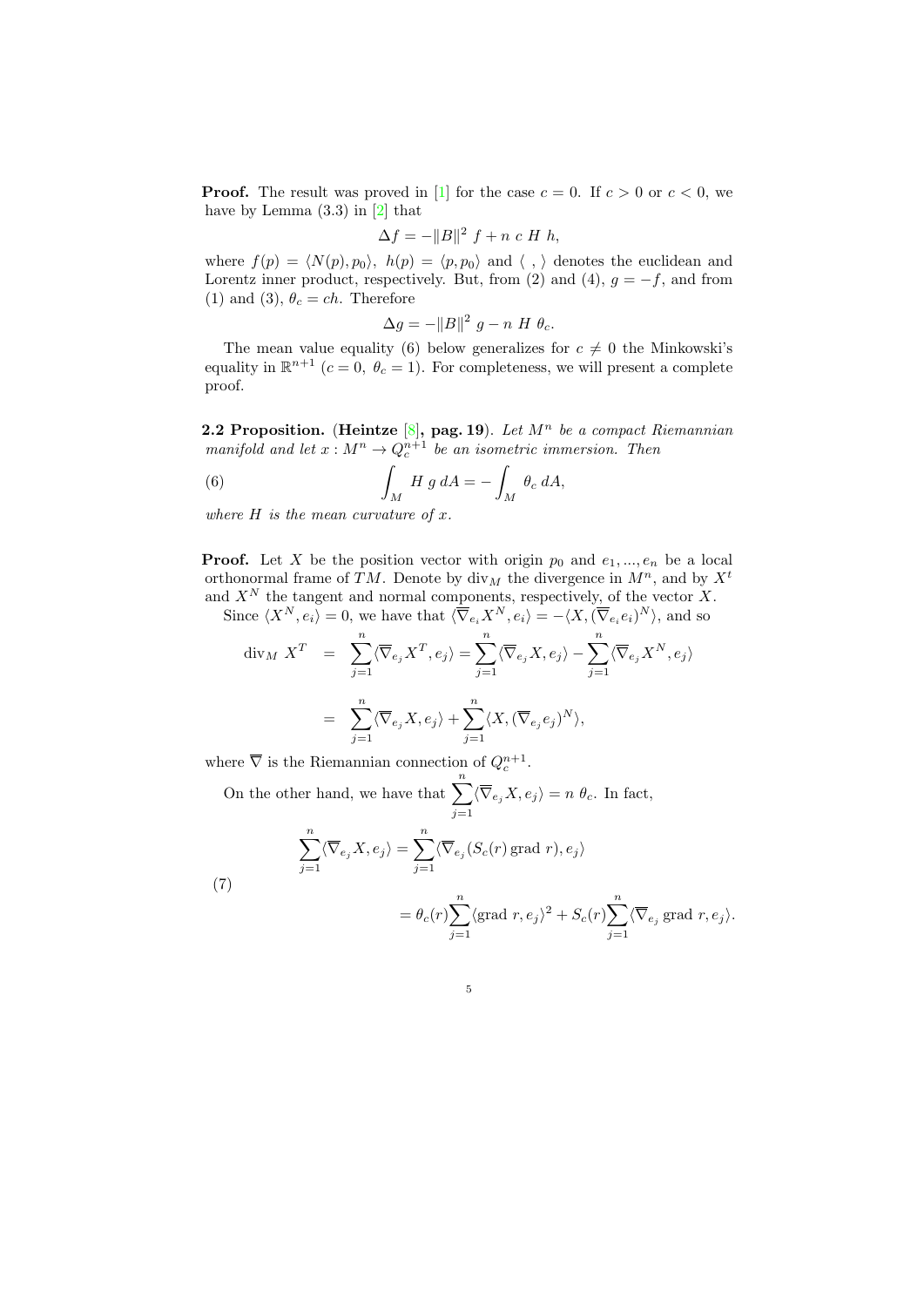**Proof.** The result was proved in [\[1\]](#page-11-3) for the case  $c = 0$ . If  $c > 0$  or  $c < 0$ , we have by Lemma  $(3.3)$  in  $[2]$  that

$$
\Delta f = -\|B\|^2 f + n c H h,
$$

where  $f(p) = \langle N(p), p_0 \rangle$ ,  $h(p) = \langle p, p_0 \rangle$  and  $\langle , \rangle$  denotes the euclidean and Lorentz inner product, respectively. But, from (2) and (4),  $g = -f$ , and from (1) and (3),  $\theta_c = ch$ . Therefore

$$
\Delta g = -\|B\|^2 g - n H \theta_c.
$$

The mean value equality (6) below generalizes for  $c \neq 0$  the Minkowski's equality in  $\mathbb{R}^{n+1}$   $(c = 0, \theta_c = 1)$ . For completeness, we will present a complete proof.

2.2 Proposition. (Heintze  $[8]$ , pag. 19). Let  $M^n$  be a compact Riemannian manifold and let  $x : M^n \to Q_c^{n+1}$  be an isometric immersion. Then

(6) 
$$
\int_M H g dA = - \int_M \theta_c dA,
$$

where  $H$  is the mean curvature of  $x$ .

**Proof.** Let X be the position vector with origin  $p_0$  and  $e_1, ..., e_n$  be a local orthonormal frame of TM. Denote by  $\text{div}_M$  the divergence in  $M^n$ , and by  $X^t$ and  $X<sup>N</sup>$  the tangent and normal components, respectively, of the vector X.

Since  $\langle X^N, e_i \rangle = 0$ , we have that  $\langle \overline{\nabla}_{e_i} X^N, e_i \rangle = -\langle X, (\overline{\nabla}_{e_i} e_i)^N \rangle$ , and so

$$
\begin{aligned}\n\operatorname{div}_M X^T &= \sum_{j=1}^n \langle \overline{\nabla}_{e_j} X^T, e_j \rangle = \sum_{j=1}^n \langle \overline{\nabla}_{e_j} X, e_j \rangle - \sum_{j=1}^n \langle \overline{\nabla}_{e_j} X^N, e_j \rangle \\
&= \sum_{j=1}^n \langle \overline{\nabla}_{e_j} X, e_j \rangle + \sum_{j=1}^n \langle X, (\overline{\nabla}_{e_j} e_j)^N \rangle,\n\end{aligned}
$$

where  $\overline{\nabla}$  is the Riemannian connection of  $Q_c^{n+1}$ .

On the other hand, we have that  $\sum_{n=1}^n$  $j=1$  $\langle \nabla_{e_j} X, e_j \rangle = n \theta_c$ . In fact,

(7)  
\n
$$
\sum_{j=1}^{n} \langle \overline{\nabla}_{e_j} X, e_j \rangle = \sum_{j=1}^{n} \langle \overline{\nabla}_{e_j} (S_c(r) \text{ grad } r), e_j \rangle
$$
\n
$$
= \theta_c(r) \sum_{j=1}^{n} \langle \text{grad } r, e_j \rangle^2 + S_c(r) \sum_{j=1}^{n} \langle \overline{\nabla}_{e_j} \text{ grad } r, e_j \rangle.
$$

5

 $j=1$ 

 $j=1$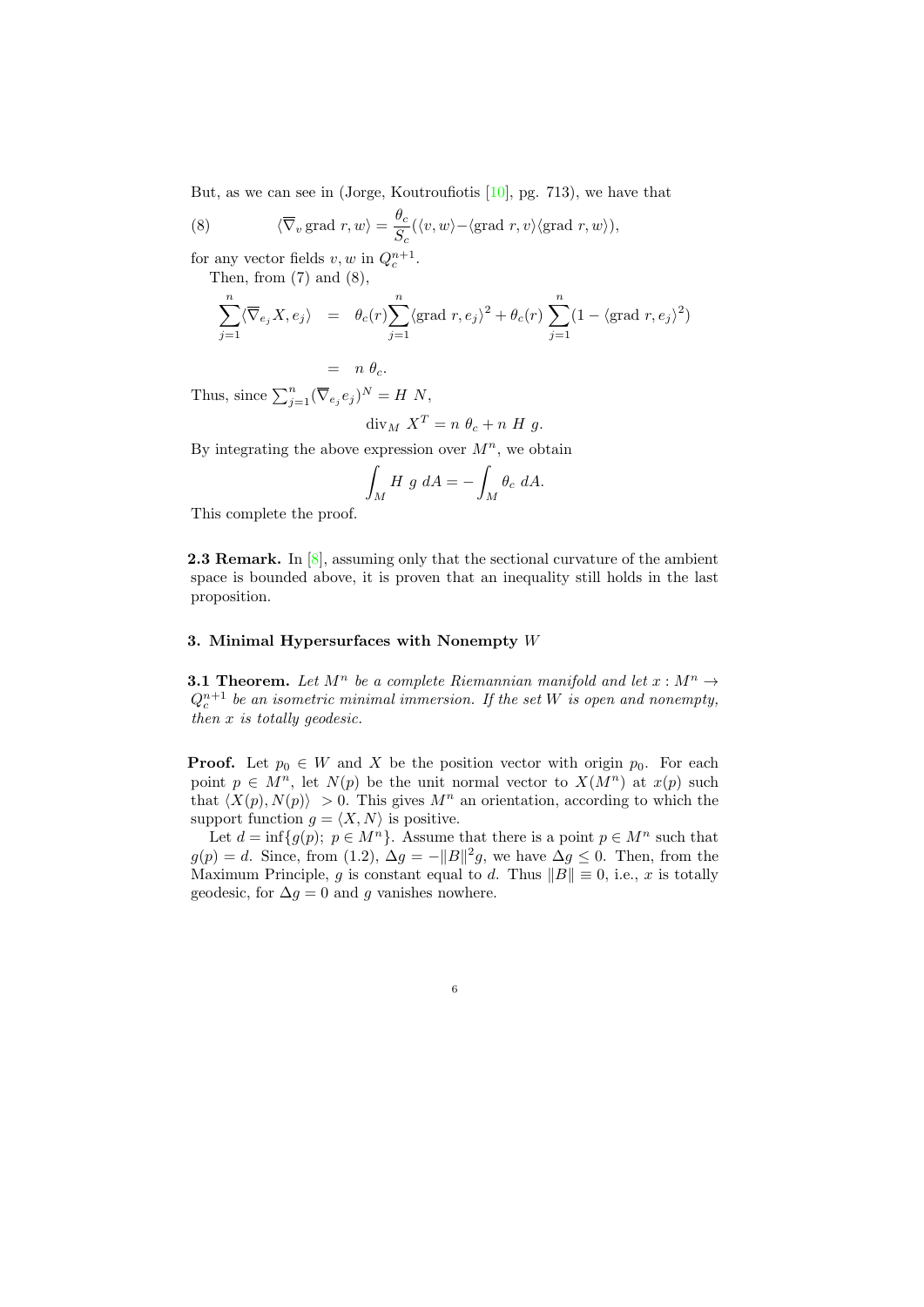But, as we can see in (Jorge, Koutroufiotis [\[10\]](#page-12-1), pg. 713), we have that

(8) 
$$
\langle \overline{\nabla}_v \text{ grad } r, w \rangle = \frac{\theta_c}{S_c} (\langle v, w \rangle - \langle \text{grad } r, v \rangle \langle \text{grad } r, w \rangle),
$$

for any vector fields  $v, w$  in  $Q_c^{n+1}$ .

Then, from  $(7)$  and  $(8)$ ,

$$
\sum_{j=1}^{n} \langle \overline{\nabla}_{e_j} X, e_j \rangle = \theta_c(r) \sum_{j=1}^{n} \langle \text{grad } r, e_j \rangle^2 + \theta_c(r) \sum_{j=1}^{n} (1 - \langle \text{grad } r, e_j \rangle^2)
$$

$$
= n \theta_c.
$$

Thus, since  $\sum_{j=1}^{n} (\overline{\nabla}_{e_j} e_j)^N = H N$ ,

$$
\operatorname{div}_M X^T = n \theta_c + n H g.
$$

By integrating the above expression over  $M^n$ , we obtain

$$
\int_M H \, g \, dA = -\int_M \theta_c \, dA.
$$

This complete the proof.

**2.3 Remark.** In  $[8]$ , assuming only that the sectional curvature of the ambient space is bounded above, it is proven that an inequality still holds in the last proposition.

# 3. Minimal Hypersurfaces with Nonempty W

**3.1 Theorem.** Let  $M^n$  be a complete Riemannian manifold and let  $x : M^n \to$  $Q_c^{n+1}$  be an isometric minimal immersion. If the set W is open and nonempty, then x is totally geodesic.

**Proof.** Let  $p_0 \in W$  and X be the position vector with origin  $p_0$ . For each point  $p \in M^n$ , let  $N(p)$  be the unit normal vector to  $X(M^n)$  at  $x(p)$  such that  $\langle X(p), N(p) \rangle > 0$ . This gives  $M^n$  an orientation, according to which the support function  $g = \langle X, N \rangle$  is positive.

Let  $d = \inf\{g(p); p \in M^n\}$ . Assume that there is a point  $p \in M^n$  such that  $g(p) = d$ . Since, from (1.2),  $\Delta g = -||B||^2 g$ , we have  $\Delta g \leq 0$ . Then, from the Maximum Principle, g is constant equal to d. Thus  $||B|| \equiv 0$ , i.e., x is totally geodesic, for  $\Delta g = 0$  and g vanishes nowhere.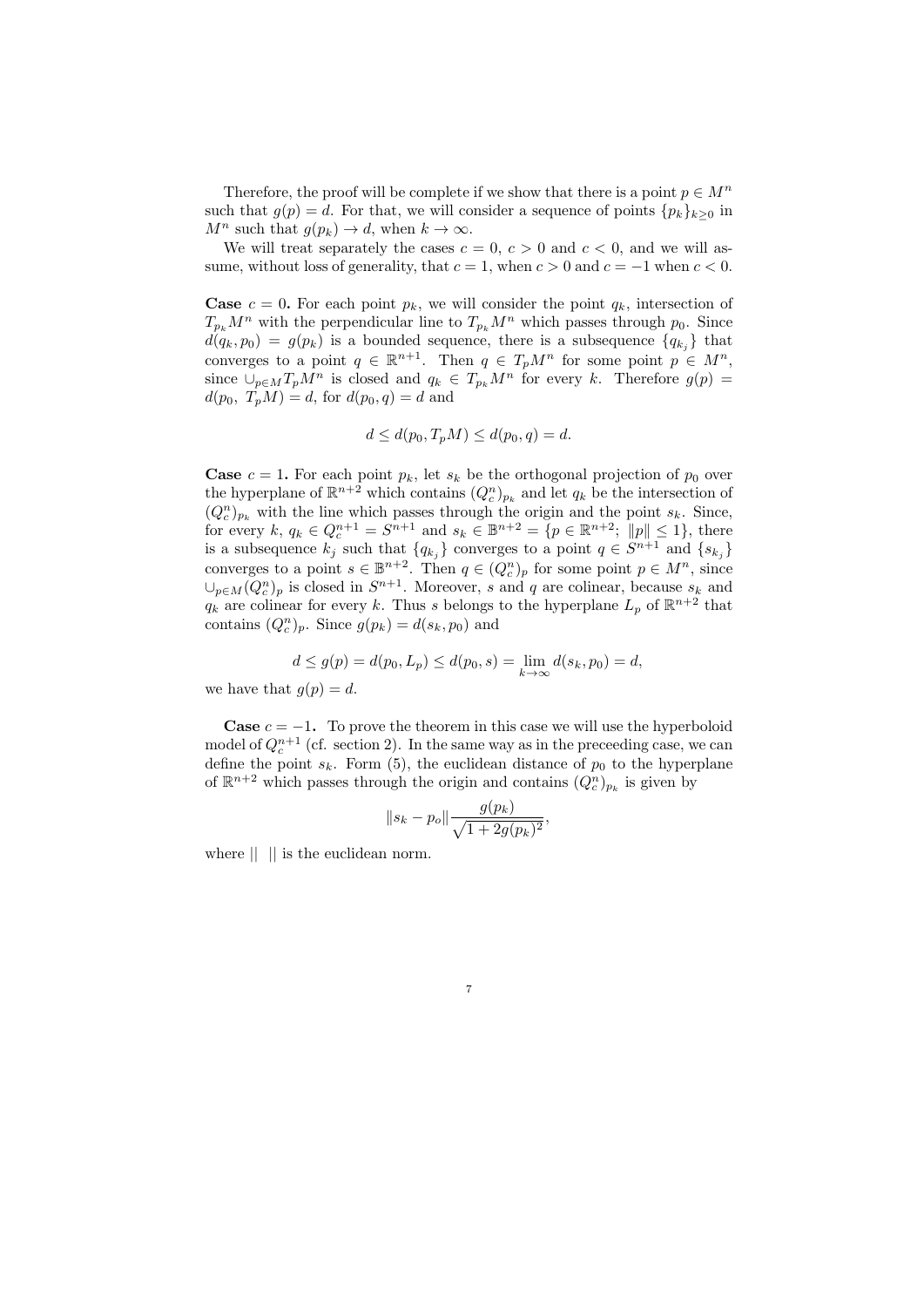Therefore, the proof will be complete if we show that there is a point  $p \in M^n$ such that  $g(p) = d$ . For that, we will consider a sequence of points  $\{p_k\}_{k>0}$  in  $M^n$  such that  $g(p_k) \to d$ , when  $k \to \infty$ .

We will treat separately the cases  $c = 0, c > 0$  and  $c < 0$ , and we will assume, without loss of generality, that  $c = 1$ , when  $c > 0$  and  $c = -1$  when  $c < 0$ .

**Case**  $c = 0$ . For each point  $p_k$ , we will consider the point  $q_k$ , intersection of  $T_{p_k}M^n$  with the perpendicular line to  $T_{p_k}M^n$  which passes through  $p_0$ . Since  $d(q_k, p_0) = g(p_k)$  is a bounded sequence, there is a subsequence  $\{q_{k_i}\}\$  that converges to a point  $q \in \mathbb{R}^{n+1}$ . Then  $q \in T_pM^n$  for some point  $p \in M^n$ , since  $\bigcup_{p\in M}T_pM^n$  is closed and  $q_k \in T_{p_k}M^n$  for every k. Therefore  $g(p)$  =  $d(p_0, T_pM) = d$ , for  $d(p_0, q) = d$  and

$$
d \le d(p_0, T_p M) \le d(p_0, q) = d.
$$

**Case**  $c = 1$ . For each point  $p_k$ , let  $s_k$  be the orthogonal projection of  $p_0$  over the hyperplane of  $\mathbb{R}^{n+2}$  which contains  $(Q_c^n)_{p_k}$  and let  $q_k$  be the intersection of  $(Q_c^n)_{p_k}$  with the line which passes through the origin and the point  $s_k$ . Since, for every  $k, q_k \in Q_c^{n+1} = S^{n+1}$  and  $s_k \in \mathbb{B}^{n+2} = \{p \in \mathbb{R}^{n+2}; |p| \leq 1\}$ , there is a subsequence  $k_j$  such that  $\{q_{k_j}\}\$ converges to a point  $q \in S^{n+1}$  and  $\{s_{k_j}\}\$ converges to a point  $s \in \mathbb{B}^{n+2}$ . Then  $q \in (Q_c^n)_p$  for some point  $p \in M^n$ , since  $\cup_{p\in M}(Q_c^n)_p$  is closed in  $S^{n+1}$ . Moreover, s and q are colinear, because  $s_k$  and  $q_k$  are colinear for every k. Thus s belongs to the hyperplane  $L_p$  of  $\mathbb{R}^{n+2}$  that contains  $(Q_c^n)_p$ . Since  $g(p_k) = d(s_k, p_0)$  and

$$
d \le g(p) = d(p_0, L_p) \le d(p_0, s) = \lim_{k \to \infty} d(s_k, p_0) = d,
$$

we have that  $g(p) = d$ .

**Case**  $c = -1$ . To prove the theorem in this case we will use the hyperboloid model of  $Q_c^{n+1}$  (cf. section 2). In the same way as in the preceeding case, we can define the point  $s_k$ . Form (5), the euclidean distance of  $p_0$  to the hyperplane of  $\mathbb{R}^{n+2}$  which passes through the origin and contains  $(Q_c^n)_{p_k}$  is given by

$$
||s_k - p_o|| \frac{g(p_k)}{\sqrt{1 + 2g(p_k)^2}},
$$

7

where  $\|$  || is the euclidean norm.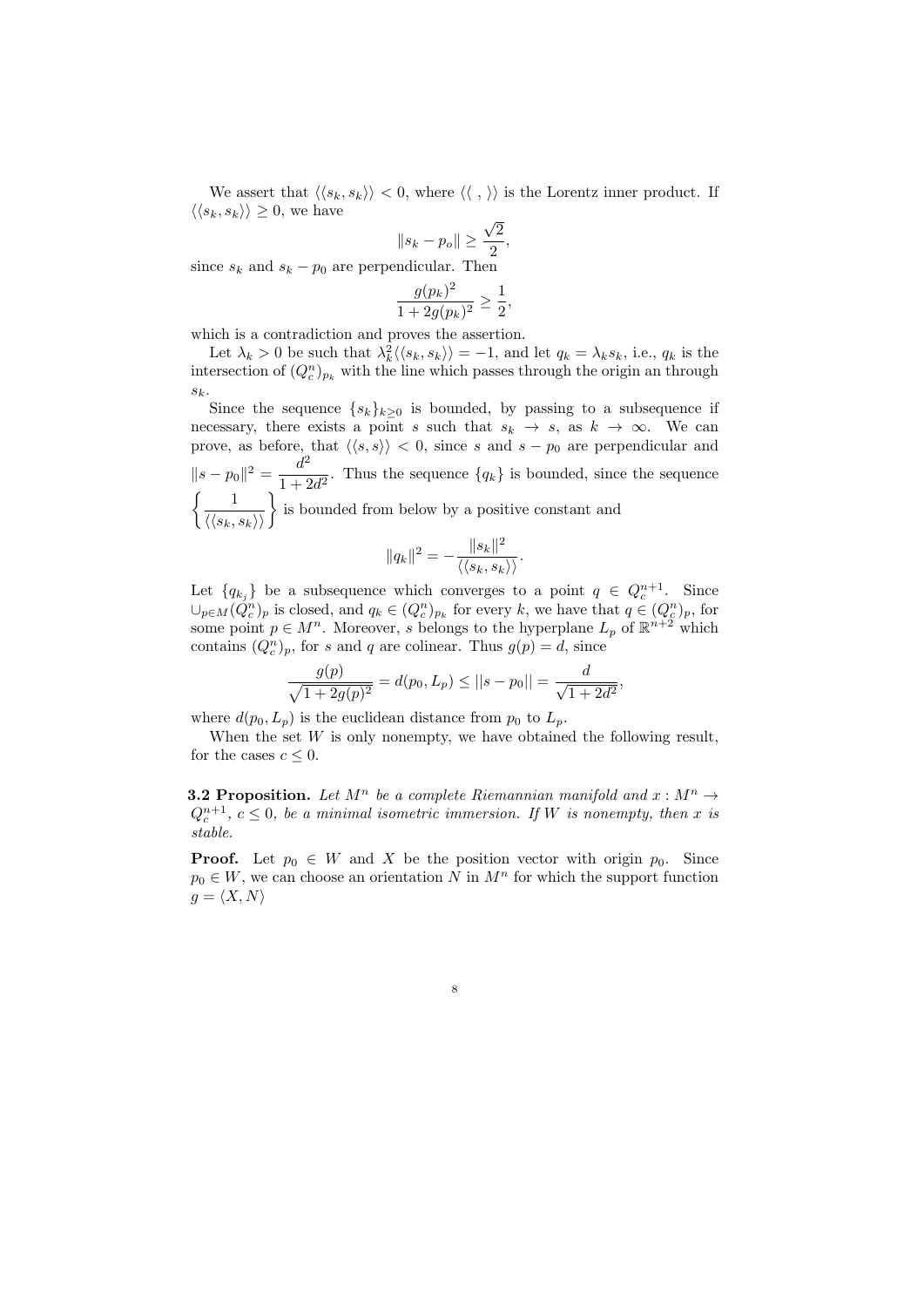We assert that  $\langle \langle s_k, s_k \rangle \rangle < 0$ , where  $\langle \langle , \rangle \rangle$  is the Lorentz inner product. If  $\langle \langle s_k, s_k \rangle \rangle \geq 0$ , we have √

$$
\|s_k - p_o\| \ge \frac{\sqrt{2}}{2}
$$

,

since  $s_k$  and  $s_k - p_0$  are perpendicular. Then

$$
\frac{g(p_k)^2}{1 + 2g(p_k)^2} \ge \frac{1}{2},
$$

which is a contradiction and proves the assertion.

Let  $\lambda_k > 0$  be such that  $\lambda_k^2 \langle \langle s_k, s_k \rangle \rangle = -1$ , and let  $q_k = \lambda_k s_k$ , i.e.,  $q_k$  is the intersection of  $(Q_c^n)_{p_k}$  with the line which passes through the origin an through  $s_k$ 

Since the sequence  $\{s_k\}_{k\geq 0}$  is bounded, by passing to a subsequence if necessary, there exists a point s such that  $s_k \to s$ , as  $k \to \infty$ . We can prove, as before, that  $\langle \langle s, s \rangle \rangle < 0$ , since s and s – p<sub>0</sub> are perpendicular and  $||s-p_0||^2 = \frac{d^2}{1+\epsilon^2}$  $\frac{a}{1 + 2d^2}$ . Thus the sequence  $\{q_k\}$  is bounded, since the sequence  $\left\{\frac{1}{\langle\langle s_k, s_k\rangle\rangle}\right\}$  is bounded from below by a positive constant and

$$
||q_k||^2 = -\frac{||s_k||^2}{\langle\langle s_k, s_k\rangle\rangle}.
$$

Let  ${q_{k_j}}$  be a subsequence which converges to a point  $q \in Q_c^{n+1}$ . Since  $\cup_{p\in M}(\check{Q}_c^n)_p$  is closed, and  $q_k\in (Q_c^n)_{p_k}$  for every k, we have that  $q\in (Q_c^n)_p$ , for some point  $p \in M^n$ . Moreover, s belongs to the hyperplane  $L_p$  of  $\mathbb{R}^{n+2}$  which contains  $(Q_c^n)_p$ , for s and q are colinear. Thus  $g(p) = d$ , since

$$
\frac{g(p)}{\sqrt{1+2g(p)^2}} = d(p_0, L_p) \le ||s - p_0|| = \frac{d}{\sqrt{1+2d^2}},
$$

where  $d(p_0, L_p)$  is the euclidean distance from  $p_0$  to  $L_p$ .

When the set  $W$  is only nonempty, we have obtained the following result, for the cases  $c \leq 0$ .

**3.2 Proposition.** Let  $M^n$  be a complete Riemannian manifold and  $x : M^n \to$  $Q_c^{n+1}$ ,  $c \leq 0$ , be a minimal isometric immersion. If W is nonempty, then x is stable.

**Proof.** Let  $p_0 \in W$  and X be the position vector with origin  $p_0$ . Since  $p_0 \in W$ , we can choose an orientation N in  $M^n$  for which the support function  $g = \langle X, N \rangle$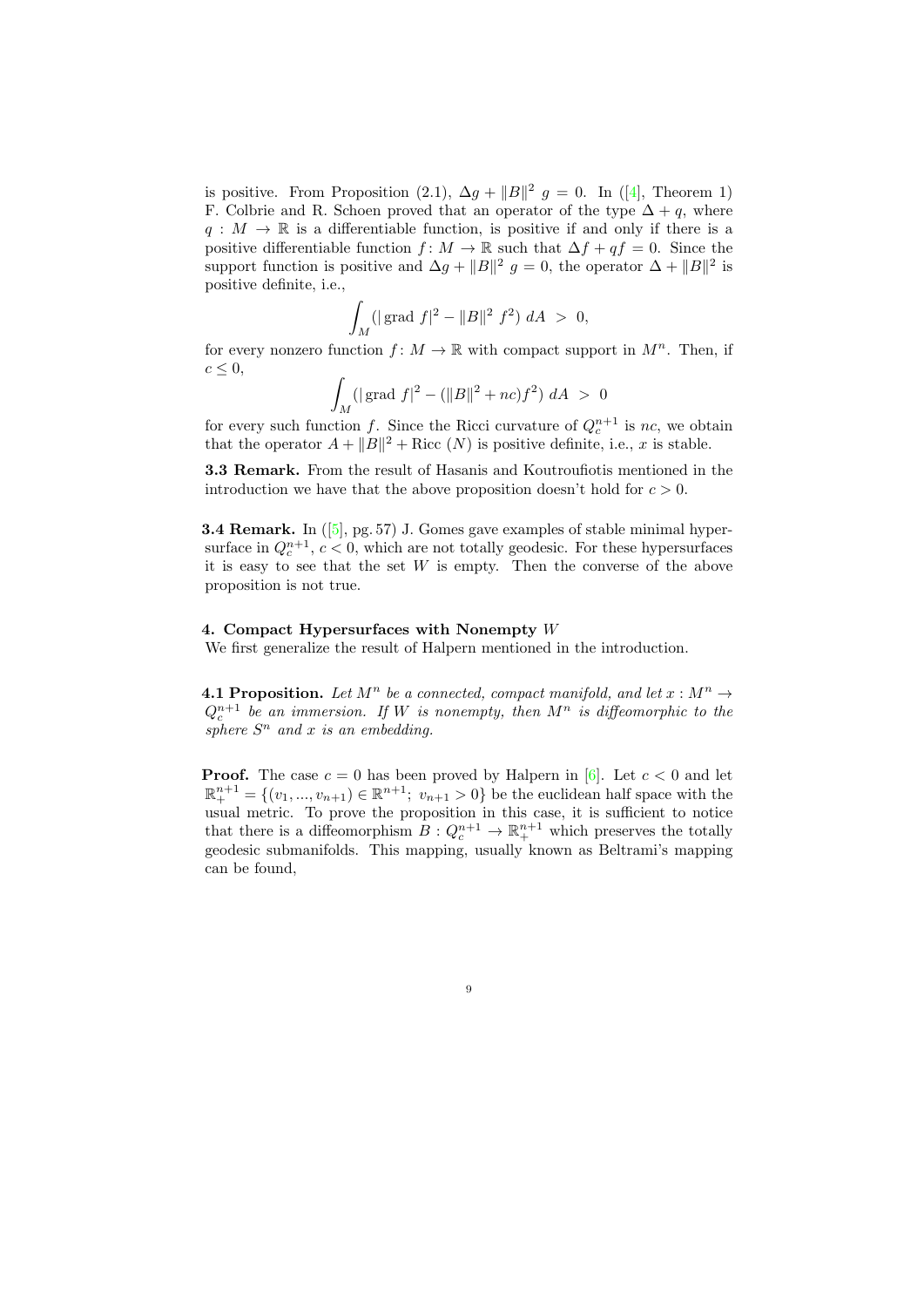is positive. From Proposition  $(2.1)$ ,  $\Delta g + ||B||^2$   $g = 0$ . In  $([4]$  $([4]$ , Theorem 1) F. Colbrie and R. Schoen proved that an operator of the type  $\Delta + q$ , where  $q: M \to \mathbb{R}$  is a differentiable function, is positive if and only if there is a positive differentiable function  $f: M \to \mathbb{R}$  such that  $\Delta f + qf = 0$ . Since the support function is positive and  $\Delta g + ||B||^2$  g = 0, the operator  $\Delta + ||B||^2$  is positive definite, i.e.,

$$
\int_M (|\operatorname{grad} f|^2 - \|B\|^2 f^2) \; dA \; > \; 0,
$$

for every nonzero function  $f: M \to \mathbb{R}$  with compact support in  $M^n$ . Then, if  $c \leq 0$ ,

$$
\int_M (|\operatorname{grad} f|^2 - (||B||^2 + nc)f^2) dA > 0
$$

 $\int_M$  for every such function f. Since the Ricci curvature of  $Q_c^{n+1}$  is nc, we obtain that the operator  $A + ||B||^2 +$  Ricc  $(N)$  is positive definite, i.e., x is stable.

3.3 Remark. From the result of Hasanis and Koutroufiotis mentioned in the introduction we have that the above proposition doesn't hold for  $c > 0$ .

**3.4 Remark.** In  $([5], pg. 57)$  $([5], pg. 57)$  $([5], pg. 57)$  J. Gomes gave examples of stable minimal hypersurface in  $Q_c^{n+1}$ ,  $c < 0$ , which are not totally geodesic. For these hypersurfaces it is easy to see that the set  $W$  is empty. Then the converse of the above proposition is not true.

#### 4. Compact Hypersurfaces with Nonempty W

We first generalize the result of Halpern mentioned in the introduction.

4.1 Proposition. Let  $M^n$  be a connected, compact manifold, and let  $x : M^n \to$  $Q_c^{n+1}$  be an immersion. If W is nonempty, then  $M^n$  is diffeomorphic to the sphere  $S<sup>n</sup>$  and x is an embedding.

**Proof.** The case  $c = 0$  has been proved by Halpern in [\[6\]](#page-11-0). Let  $c < 0$  and let  $\mathbb{R}^{n+1}_{+} = \{(v_1, ..., v_{n+1}) \in \mathbb{R}^{n+1}; v_{n+1} > 0\}$  be the euclidean half space with the usual metric. To prove the proposition in this case, it is sufficient to notice that there is a diffeomorphism  $B: Q_c^{n+1} \to \mathbb{R}^{n+1}_+$  which preserves the totally geodesic submanifolds. This mapping, usually known as Beltrami's mapping can be found,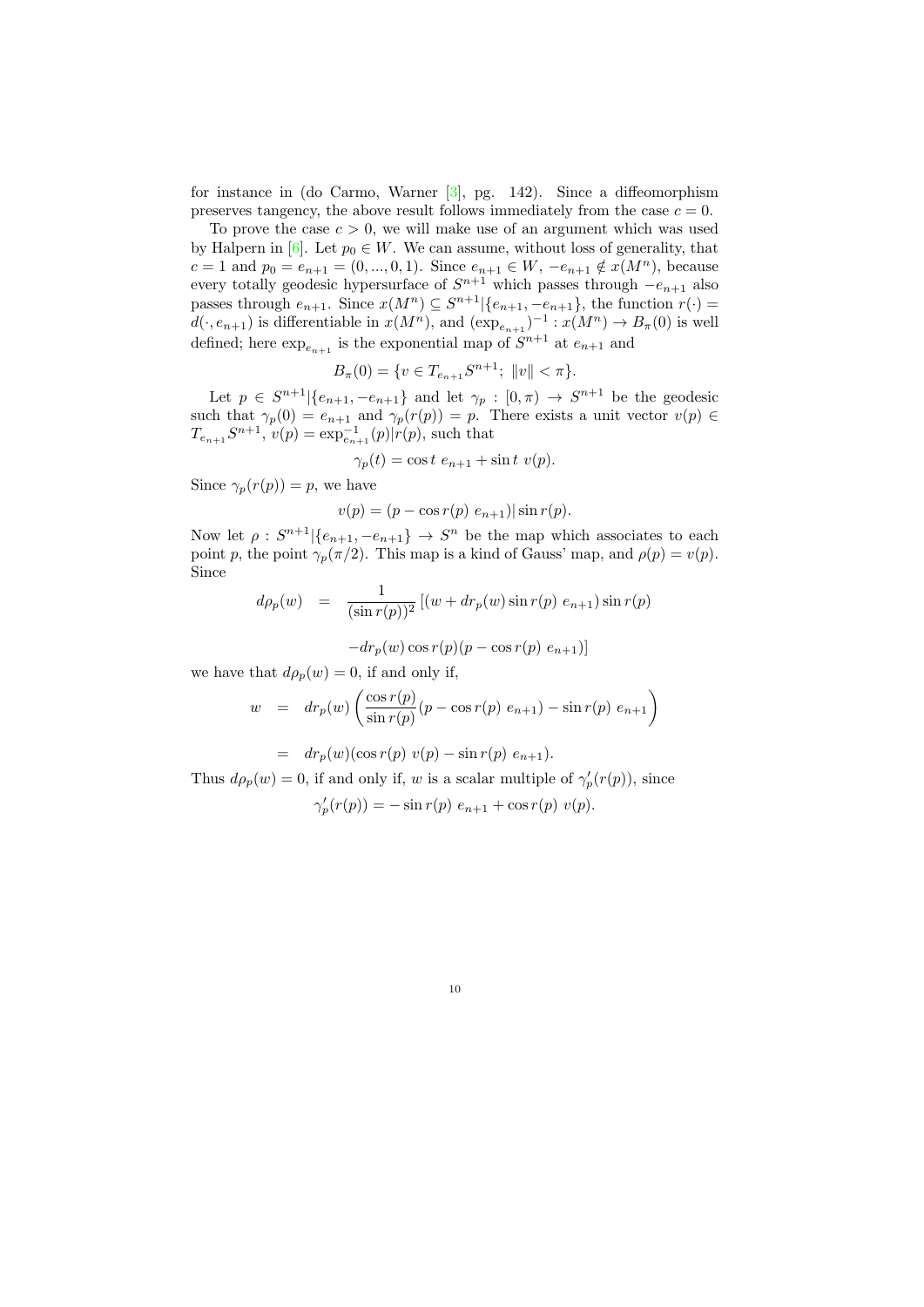for instance in (do Carmo, Warner [\[3\]](#page-11-7), pg. 142). Since a diffeomorphism preserves tangency, the above result follows immediately from the case  $c = 0$ .

To prove the case  $c > 0$ , we will make use of an argument which was used by Halpern in [\[6\]](#page-11-0). Let  $p_0 \in W$ . We can assume, without loss of generality, that  $c = 1$  and  $p_0 = e_{n+1} = (0, ..., 0, 1)$ . Since  $e_{n+1} \in W$ ,  $-e_{n+1} \notin x(M^n)$ , because every totally geodesic hypersurface of  $S^{n+1}$  which passes through  $-e_{n+1}$  also passes through  $e_{n+1}$ . Since  $x(M^n) \subseteq S^{n+1} \setminus \{e_{n+1}, -e_{n+1}\}$ , the function  $r(\cdot) =$  $d(\cdot, e_{n+1})$  is differentiable in  $x(M^n)$ , and  $(\exp_{e_{n+1}})^{-1} : x(M^n) \to B_{\pi}(0)$  is well defined; here  $\exp_{e_{n+1}}$  is the exponential map of  $S^{n+1}$  at  $e_{n+1}$  and

$$
B_{\pi}(0) = \{ v \in T_{e_{n+1}} S^{n+1}; \ \|v\| < \pi \}.
$$

Let  $p \in S^{n+1} \setminus \{e_{n+1}, -e_{n+1}\}\$  and let  $\gamma_p : [0, \pi) \to S^{n+1}$  be the geodesic such that  $\gamma_p(0) = e_{n+1}$  and  $\gamma_p(r(p)) = p$ . There exists a unit vector  $v(p) \in$  $T_{e_{n+1}}S^{n+1}, v(p) = \exp_{e_{n+1}}^{-1}(p)|r(p),$  such that

 $\gamma_p(t) = \cos t \ e_{n+1} + \sin t \ v(p).$ 

Since  $\gamma_p(r(p)) = p$ , we have

 $v(p) = (p - \cos r(p) e_{n+1}) |\sin r(p).$ 

Now let  $\rho: S^{n+1} \setminus \{e_{n+1}, -e_{n+1}\} \to S^n$  be the map which associates to each point p, the point  $\gamma_p(\pi/2)$ . This map is a kind of Gauss' map, and  $\rho(p) = v(p)$ . Since

$$
d\rho_p(w) = \frac{1}{(\sin r(p))^2} [(w + dr_p(w) \sin r(p) e_{n+1}) \sin r(p) -dr_p(w) \cos r(p) (p - \cos r(p) e_{n+1})]
$$

we have that  $d\rho_p(w) = 0$ , if and only if,

$$
w = dr_p(w) \left( \frac{\cos r(p)}{\sin r(p)} (p - \cos r(p) e_{n+1}) - \sin r(p) e_{n+1} \right)
$$

$$
= dr_p(w)(\cos r(p) v(p) - \sin r(p) e_{n+1}).
$$

Thus  $d\rho_p(w) = 0$ , if and only if, w is a scalar multiple of  $\gamma_p'(r(p))$ , since

$$
\gamma'_p(r(p)) = -\sin r(p) \, e_{n+1} + \cos r(p) \, v(p).
$$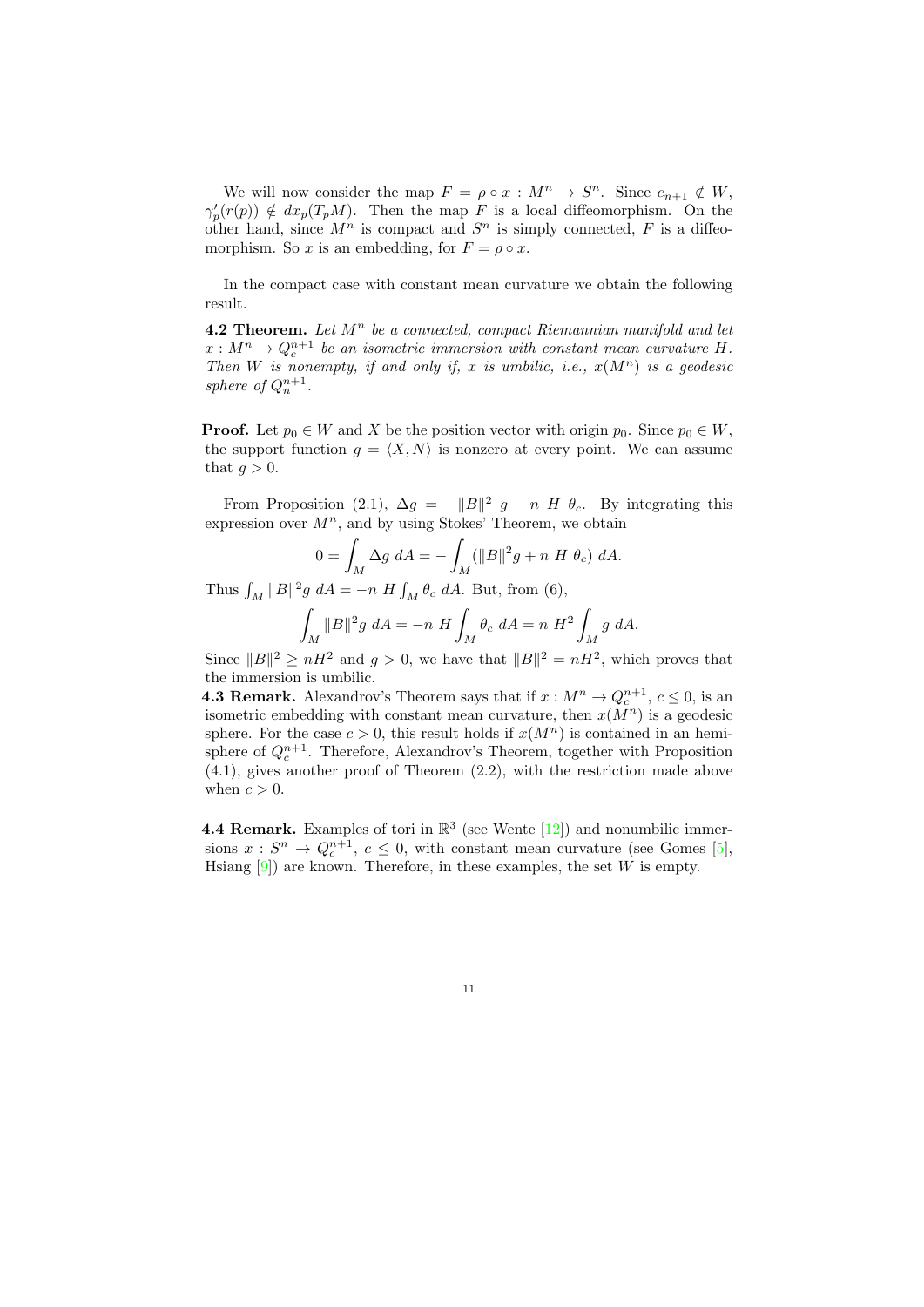We will now consider the map  $F = \rho \circ x : M^n \to S^n$ . Since  $e_{n+1} \notin W$ ,  $\gamma'_p(r(p)) \notin dx_p(T_pM)$ . Then the map F is a local diffeomorphism. On the other hand, since  $M^n$  is compact and  $S^n$  is simply connected, F is a diffeomorphism. So x is an embedding, for  $F = \rho \circ x$ .

In the compact case with constant mean curvature we obtain the following result.

4.2 Theorem. Let  $M^n$  be a connected, compact Riemannian manifold and let  $x: M^n \to Q_c^{n+1}$  be an isometric immersion with constant mean curvature H. Then W is nonempty, if and only if, x is umbilic, i.e.,  $x(M^n)$  is a geodesic sphere of  $Q_n^{n+1}$ .

**Proof.** Let  $p_0 \in W$  and X be the position vector with origin  $p_0$ . Since  $p_0 \in W$ , the support function  $g = \langle X, N \rangle$  is nonzero at every point. We can assume that  $q > 0$ .

From Proposition (2.1),  $\Delta g = -||B||^2 g - n H \theta_c$ . By integrating this expression over  $M^n$ , and by using Stokes' Theorem, we obtain

$$
0 = \int_M \Delta g \ dA = -\int_M (\|B\|^2 g + n \ H \ \theta_c) \ dA.
$$

Thus  $\int_M ||B||^2 g dA = -n H \int_M \theta_c dA$ . But, from (6),

$$
\int_M \|B\|^2 g \ dA = -n \ H \int_M \theta_c \ dA = n \ H^2 \int_M g \ dA.
$$

Since  $||B||^2 \geq nH^2$  and  $g > 0$ , we have that  $||B||^2 = nH^2$ , which proves that the immersion is umbilic.

**4.3 Remark.** Alexandrov's Theorem says that if  $x : M^n \to Q_c^{n+1}, c \leq 0$ , is an isometric embedding with constant mean curvature, then  $x(M^n)$  is a geodesic sphere. For the case  $c > 0$ , this result holds if  $x(M^n)$  is contained in an hemisphere of  $Q_c^{n+1}$ . Therefore, Alexandrov's Theorem, together with Proposition (4.1), gives another proof of Theorem (2.2), with the restriction made above when  $c > 0$ .

**4.4 Remark.** Examples of tori in  $\mathbb{R}^3$  (see Wente [\[12\]](#page-12-2)) and nonumbilic immersions  $x: S^n \to Q_c^{n+1}, c \leq 0$ , with constant mean curvature (see Gomes [\[5\]](#page-11-6), Hsiang  $[9]$ ) are known. Therefore, in these examples, the set W is empty.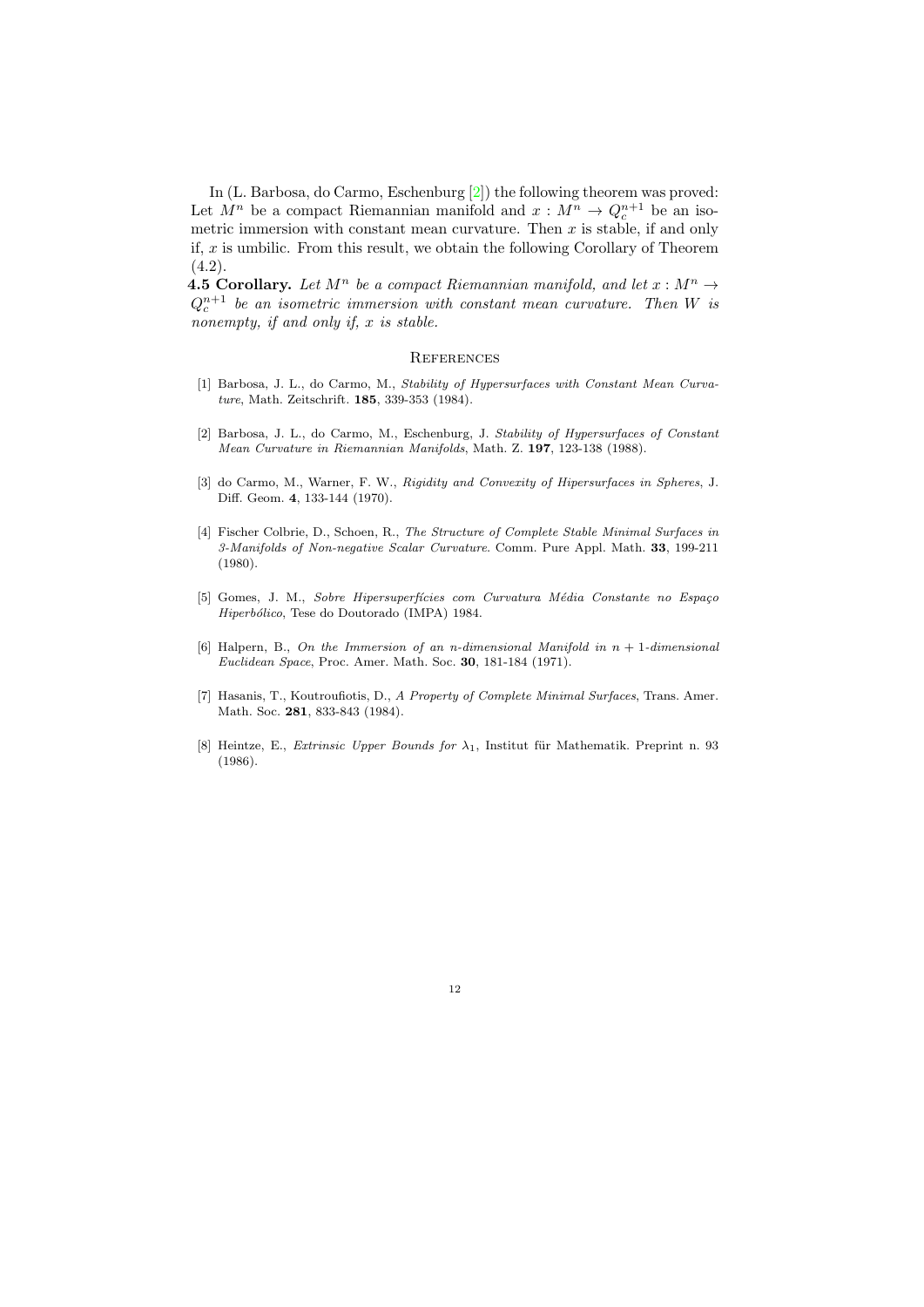In (L. Barbosa, do Carmo, Eschenburg [\[2\]](#page-11-4)) the following theorem was proved: Let  $M^n$  be a compact Riemannian manifold and  $x : M^n \to Q_c^{n+1}$  be an isometric immersion with constant mean curvature. Then  $x$  is stable, if and only if,  $x$  is umbilic. From this result, we obtain the following Corollary of Theorem  $(4.2)$ .

**4.5 Corollary.** Let  $M^n$  be a compact Riemannian manifold, and let  $x : M^n \to$  $Q_c^{n+1}$  be an isometric immersion with constant mean curvature. Then W is nonempty, if and only if, x is stable.

#### **REFERENCES**

- <span id="page-11-3"></span>[1] Barbosa, J. L., do Carmo, M., Stability of Hypersurfaces with Constant Mean Curvature, Math. Zeitschrift. 185, 339-353 (1984).
- <span id="page-11-4"></span>[2] Barbosa, J. L., do Carmo, M., Eschenburg, J. Stability of Hypersurfaces of Constant Mean Curvature in Riemannian Manifolds, Math. Z. 197, 123-138 (1988).
- <span id="page-11-7"></span>[3] do Carmo, M., Warner, F. W., Rigidity and Convexity of Hipersurfaces in Spheres, J. Diff. Geom. 4, 133-144 (1970).
- <span id="page-11-5"></span>[4] Fischer Colbrie, D., Schoen, R., The Structure of Complete Stable Minimal Surfaces in 3-Manifolds of Non-negative Scalar Curvature. Comm. Pure Appl. Math. 33, 199-211 (1980).
- <span id="page-11-6"></span>[5] Gomes, J. M., Sobre Hipersuperfícies com Curvatura Média Constante no Espaço Hiperbólico, Tese do Doutorado (IMPA) 1984.
- <span id="page-11-0"></span>[6] Halpern, B., On the Immersion of an n-dimensional Manifold in  $n + 1$ -dimensional Euclidean Space, Proc. Amer. Math. Soc. 30, 181-184 (1971).
- <span id="page-11-1"></span>[7] Hasanis, T., Koutroufiotis, D., A Property of Complete Minimal Surfaces, Trans. Amer. Math. Soc. 281, 833-843 (1984).
- <span id="page-11-2"></span>[8] Heintze, E., Extrinsic Upper Bounds for  $\lambda_1$ , Institut für Mathematik. Preprint n. 93 (1986).